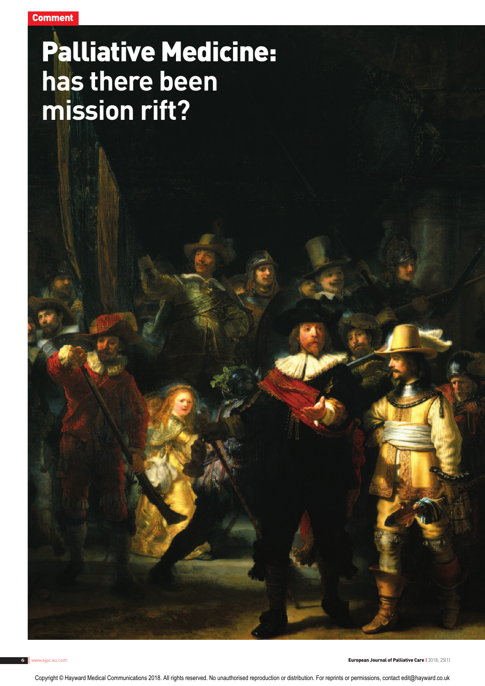# Palliative Medicine: **has there been mission rift?**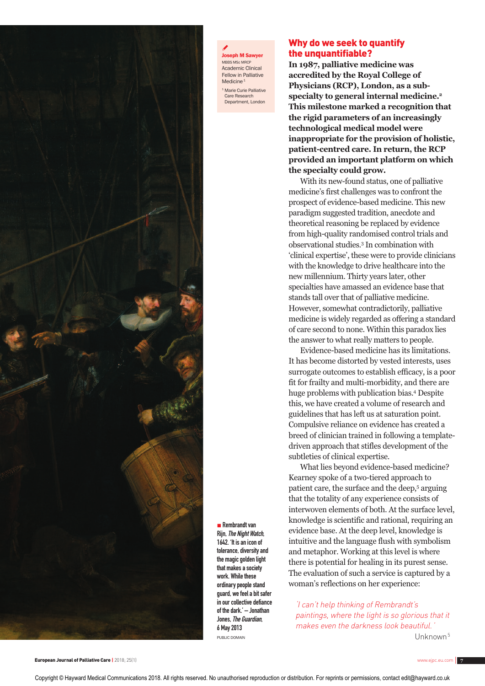

& **Joseph M Sawyer** MBBS MSc MRCP Academic Clinical Fellow in Palliative Medicine<sup>1</sup> <sup>1</sup> Marie Curie Palliative

Care Research Department, London

## Why do we seek to quantify the unquantifiable?

**In 1987, palliative medicine was accredited by the Royal College of Physicians (RCP), London, as a subspecialty to general internal medicine.2 This milestone marked a recognition that the rigid parameters of an increasingly technological medical model were inappropriate for the provision of holistic, patient-centred care. In return, the RCP provided an important platform on which the specialty could grow.**

With its new-found status, one of palliative medicine's first challenges was to confront the prospect of evidence-based medicine. This new paradigm suggested tradition, anecdote and theoretical reasoning be replaced by evidence from high-quality randomised control trials and observational studies.3 In combination with 'clinical expertise', these were to provide clinicians with the knowledge to drive healthcare into the new millennium. Thirty years later, other specialties have amassed an evidence base that stands tall over that of palliative medicine. However, somewhat contradictorily, palliative medicine is widely regarded as offering a standard of care second to none. Within this paradox lies the answer to what really matters to people.

Evidence-based medicine has its limitations. It has become distorted by vested interests, uses surrogate outcomes to establish efficacy, is a poor fit for frailty and multi-morbidity, and there are huge problems with publication bias.4 Despite this, we have created a volume of research and guidelines that has left us at saturation point. Compulsive reliance on evidence has created a breed of clinician trained in following a templatedriven approach that stifles development of the subtleties of clinical expertise.

What lies beyond evidence-based medicine? Kearney spoke of a two-tiered approach to patient care, the surface and the deep,5 arguing that the totality of any experience consists of interwoven elements of both. At the surface level, knowledge is scientific and rational, requiring an evidence base. At the deep level, knowledge is intuitive and the language flush with symbolism and metaphor. Working at this level is where there is potential for healing in its purest sense. The evaluation of such a service is captured by a woman's reflections on her experience:

'I can't help thinking of Rembrandt's paintings, where the light is so glorious that it makes even the darkness look beautiful.' Unknown<sup>5</sup>

Copyright © Hayward Medical Communications 2018. All rights reserved. No unauthorised reproduction or distribution. For reprints or permissions, contact edit@hayward.co.uk

■ Rembrandt van Rijn, The Night Watch, 1642. 'It is an icon of tolerance, diversity and the magic golden light that makes a society work. While these ordinary people stand guard, we feel a bit safer in our collective defiance of the dark.' – Jonathan Jones, The Guardian, 6 May 2013 PUBLIC DOMAIN